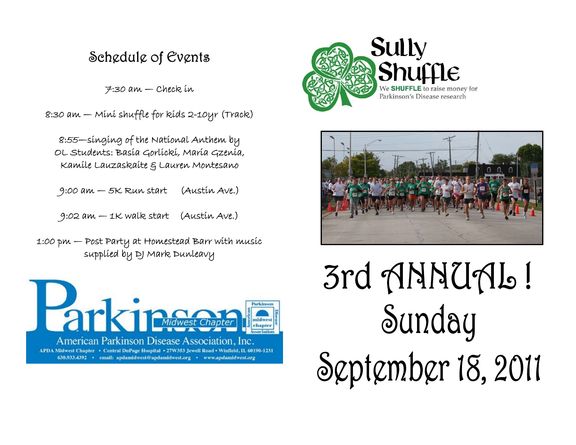## Schedule of Events

 $7:30$  am  $-$  Check in

8:30 am — Mini shuffle for kids 2-10yr (Track)

8:55—singing of the National Anthem by OL Students: Basia Gorlicki, Maria Gzenia, Kamile Lauzaskaite & Lauren Montesano

9:00 am — 5K Run start (Austin Ave.)

9:02 am — 1K walk start (Austin Ave.)

1:00 pm — Post Party at Homestead Barr with music supplied by DJ Mark Dunleavy







3rd ANNUAL! Sunday September 18, 2011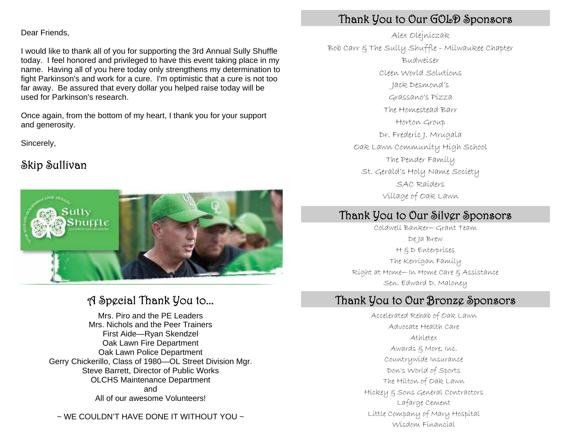#### Dear Friends,

I would like to thank all of you for supporting the 3rd Annual Sully Shuffle today. I feel honored and privileged to have this event taking place in my name. Having all of you here today only strengthens my determination to fight Parkinson's and work for a cure. I'm optimistic that a cure is not too far away. Be assured that every dollar you helped raise today will be used for Parkinson's research.

Once again, from the bottom of my heart, I thank you for your support and generosity.

Sincerely,

### Skip Sullivan



## A Special Thank You to...

Mrs. Piro and the PE Leaders Mrs. Nichols and the Peer Trainers First Aide—Ryan Skendzel Oak Lawn Fire Department Oak Lawn Police Department Gerry Chickerillo, Class of 1980—OL Street Division Mgr. Steve Barrett, Director of Public Works OLCHS Maintenance Department and All of our awesome Volunteers!

 $\sim$  WE COULDN'T HAVE DONE IT WITHOUT YOU  $\sim$ 

## Thank You to Our GOLD Sponsors

Alex Olejniczak Budweiser Cleen World Solutions Jack Desmond's Grassano's Pizza The Homestead Barr Horton Group Dr. Frederic J. Mrugala Oak Lawn Community High School The Pender Family Village of Oak Lawn St. Gerald's Holy Name Society SAC Raiders Bob Carr & The Sully Shuffle - Milwaukee Chapter

## Thank You to Our Silver Sponsors

Coldwell Banker—Grant Team De Ja Brew H & D Enterprises Right at Home—In Home Care & Assistance Sen. Edward D. Maloney The Kerrigan Family

### Thank You to Our Bronze Sponsors

Accelerated Rehab of Oak Lawn Athletex Awards & More, Inc. Countrywide Insurance Don's World of Sports The Hilton of Oak Lawn Lafarge Cement Little Company of Mary Hospital Wisdom Financial Advocate Health Care Hickey & Sons General Contractors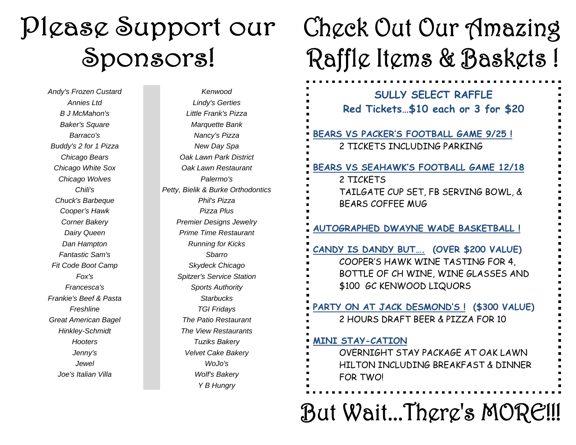# Please Support our Sponsors!

*Andy's Frozen Custard Kenwood Chicago Wolves Palermo's Chuck's Barbeque* Phil's Pizza **Cooper's Hawk**  Pizza Plus **Fantastic Sam's** Sharro **Sharro Sharro Sharro** *Fit Code Boot Camp* Skydeck Chicago *Frankie's Beef & Pasta* Starbucks *Joe's Italian Villa* Wolf's Bakery *Buddy's 2 for 1 Pizza* New Day Spa

*Annies Ltd Lindy's Gerties B J McMahon's Little Frank's Pizza Baker's Square* Marquette Bank *Barraco's Nancy's Pizza Chicago Bears Oak Lawn Park District Chicago White Sox Oak Lawn Restaurant Chili's Petty, Bielik & Burke Orthodontics Corner Bakery* Premier Designs Jewelry **Dairy Queen**  Prime Time Restaurant *Dan Hampton* **Running for Kicks** *Fox's Spitzer's Service Station Francesca's Sports Authority Freshline TGI Fridays Great American Bagel The Patio Restaurant Hinkley-Schmidt The View Restaurants Hooters Tuziks Bakery Jenny's Velvet Cake Bakery Jewel WoJo's Y B Hungry* 

# Check Out Our Amazing Raffle Items & Baskets !

**SULLY SELECT RAFFLE Red Tickets…\$10 each or 3 for \$20 BEARS VS PACKER'S FOOTBALL GAME 9/25 !** 2 TICKETS INCLUDING PARKING **BEARS VS SEAHAWK'S FOOTBALL GAME 12/18** 2 TICKETSTAILGATE CUP SET, FB SERVING BOWL, & BEARS COFFEE MUG **AUTOGRAPHED DWAYNE WADE BASKETBALL ! CANDY IS DANDY BUT…. (OVER \$200 VALUE)** COOPER'S HAWK WINE TASTING FOR 4, BOTTLE OF CH WINE, WINE GLASSES AND \$100 GC KENWOOD LIQUORS **PARTY ON AT JACK DESMOND'S ! (\$300 VALUE)**  2 HOURS DRAFT BEER & PIZZA FOR 10 **MINI STAY-CATION** OVERNIGHT STAY PACKAGE AT OAK LAWN HILTON INCLUDING BREAKFAST & DINNER FOR TWO!

But Wait...There's MORE!!!